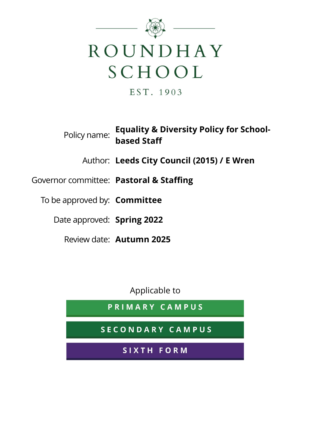

EST. 1903

Policy name: Equality & Diversity Policy for Schoolbased Staff

Author: Leeds City Council (2015) / E Wren

# Governor committee: Pastoral & Staffing

To be approved by: **Committee** 

Date approved: Spring 2022

Review date: Autumn 2025

Applicable to

PRIMARY CAMPUS

SECONDARY CAMPUS

SIXTH FORM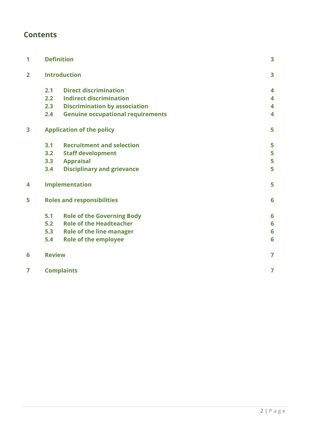# **Contents**

| 1                       |                                                                                                                                                                                                                                                                                                                                                                                                                                                                                                                                                                                                                                                                         |   | 3 |
|-------------------------|-------------------------------------------------------------------------------------------------------------------------------------------------------------------------------------------------------------------------------------------------------------------------------------------------------------------------------------------------------------------------------------------------------------------------------------------------------------------------------------------------------------------------------------------------------------------------------------------------------------------------------------------------------------------------|---|---|
| $\overline{\mathbf{2}}$ | <b>Definition</b><br><b>Introduction</b><br><b>Direct discrimination</b><br>2.1<br><b>Indirect discrimination</b><br>2.2<br><b>Discrimination by association</b><br>2.3<br><b>Genuine occupational requirements</b><br>2.4<br><b>Application of the policy</b><br><b>Recruitment and selection</b><br>3.1<br>3.2<br><b>Staff development</b><br>3.3<br><b>Appraisal</b><br><b>Disciplinary and grievance</b><br>3.4<br><b>Implementation</b><br><b>Roles and responsibilities</b><br><b>Role of the Governing Body</b><br>5.1<br><b>Role of the Headteacher</b><br>5.2<br>5.3<br><b>Role of the line manager</b><br><b>Role of the employee</b><br>5.4<br><b>Review</b> | 3 |   |
|                         |                                                                                                                                                                                                                                                                                                                                                                                                                                                                                                                                                                                                                                                                         |   | 4 |
|                         |                                                                                                                                                                                                                                                                                                                                                                                                                                                                                                                                                                                                                                                                         |   | 4 |
|                         |                                                                                                                                                                                                                                                                                                                                                                                                                                                                                                                                                                                                                                                                         |   | 4 |
|                         |                                                                                                                                                                                                                                                                                                                                                                                                                                                                                                                                                                                                                                                                         |   | 4 |
| 3                       |                                                                                                                                                                                                                                                                                                                                                                                                                                                                                                                                                                                                                                                                         |   | 5 |
|                         |                                                                                                                                                                                                                                                                                                                                                                                                                                                                                                                                                                                                                                                                         |   | 5 |
|                         |                                                                                                                                                                                                                                                                                                                                                                                                                                                                                                                                                                                                                                                                         |   | 5 |
|                         |                                                                                                                                                                                                                                                                                                                                                                                                                                                                                                                                                                                                                                                                         |   | 5 |
|                         |                                                                                                                                                                                                                                                                                                                                                                                                                                                                                                                                                                                                                                                                         |   | 5 |
| 4                       |                                                                                                                                                                                                                                                                                                                                                                                                                                                                                                                                                                                                                                                                         |   | 5 |
| 5                       |                                                                                                                                                                                                                                                                                                                                                                                                                                                                                                                                                                                                                                                                         |   | 6 |
|                         |                                                                                                                                                                                                                                                                                                                                                                                                                                                                                                                                                                                                                                                                         |   | 6 |
|                         |                                                                                                                                                                                                                                                                                                                                                                                                                                                                                                                                                                                                                                                                         |   | 6 |
|                         |                                                                                                                                                                                                                                                                                                                                                                                                                                                                                                                                                                                                                                                                         |   | 6 |
|                         |                                                                                                                                                                                                                                                                                                                                                                                                                                                                                                                                                                                                                                                                         |   | 6 |
| 6                       |                                                                                                                                                                                                                                                                                                                                                                                                                                                                                                                                                                                                                                                                         |   | 7 |
| 7                       | <b>Complaints</b>                                                                                                                                                                                                                                                                                                                                                                                                                                                                                                                                                                                                                                                       |   | 7 |
|                         |                                                                                                                                                                                                                                                                                                                                                                                                                                                                                                                                                                                                                                                                         |   |   |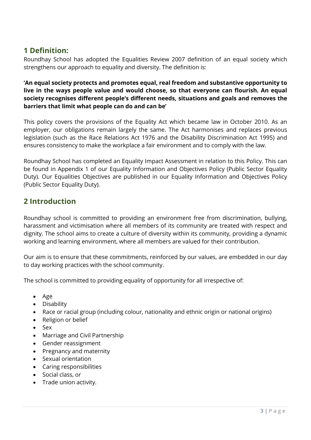# 1 Definition:

Roundhay School has adopted the Equalities Review 2007 definition of an equal society which strengthens our approach to equality and diversity. The definition is:

'An equal society protects and promotes equal, real freedom and substantive opportunity to live in the ways people value and would choose, so that everyone can flourish. An equal society recognises different people's different needs, situations and goals and removes the barriers that limit what people can do and can be'

This policy covers the provisions of the Equality Act which became law in October 2010. As an employer, our obligations remain largely the same. The Act harmonises and replaces previous legislation (such as the Race Relations Act 1976 and the Disability Discrimination Act 1995) and ensures consistency to make the workplace a fair environment and to comply with the law.

Roundhay School has completed an Equality Impact Assessment in relation to this Policy. This can be found in Appendix 1 of our Equality Information and Objectives Policy (Public Sector Equality Duty). Our Equalities Objectives are published in our Equality Information and Objectives Policy (Public Sector Equality Duty).

# 2 Introduction

Roundhay school is committed to providing an environment free from discrimination, bullying, harassment and victimisation where all members of its community are treated with respect and dignity. The school aims to create a culture of diversity within its community, providing a dynamic working and learning environment, where all members are valued for their contribution.

Our aim is to ensure that these commitments, reinforced by our values, are embedded in our day to day working practices with the school community.

The school is committed to providing equality of opportunity for all irrespective of:

- Age
- Disability
- Race or racial group (including colour, nationality and ethnic origin or national origins)
- Religion or belief
- Sex
- Marriage and Civil Partnership
- Gender reassignment
- Pregnancy and maternity
- Sexual orientation
- Caring responsibilities
- Social class, or
- Trade union activity.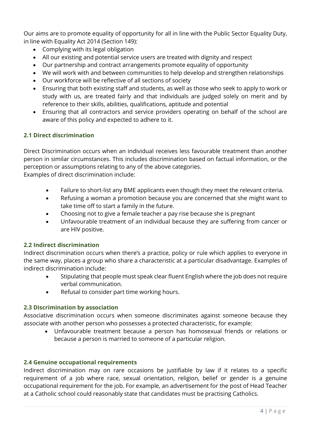Our aims are to promote equality of opportunity for all in line with the Public Sector Equality Duty, in line with Equality Act 2014 (Section 149):

- Complying with its legal obligation
- All our existing and potential service users are treated with dignity and respect
- Our partnership and contract arrangements promote equality of opportunity
- We will work with and between communities to help develop and strengthen relationships
- Our workforce will be reflective of all sections of society
- Ensuring that both existing staff and students, as well as those who seek to apply to work or study with us, are treated fairly and that individuals are judged solely on merit and by reference to their skills, abilities, qualifications, aptitude and potential
- Ensuring that all contractors and service providers operating on behalf of the school are aware of this policy and expected to adhere to it.

### 2.1 Direct discrimination

Direct Discrimination occurs when an individual receives less favourable treatment than another person in similar circumstances. This includes discrimination based on factual information, or the perception or assumptions relating to any of the above categories. Examples of direct discrimination include:

- Failure to short-list any BME applicants even though they meet the relevant criteria.
- Refusing a woman a promotion because you are concerned that she might want to take time off to start a family in the future.
- Choosing not to give a female teacher a pay rise because she is pregnant
- Unfavourable treatment of an individual because they are suffering from cancer or are HIV positive.

### 2.2 Indirect discrimination

Indirect discrimination occurs when there's a practice, policy or rule which applies to everyone in the same way, places a group who share a characteristic at a particular disadvantage. Examples of indirect discrimination include:

- Stipulating that people must speak clear fluent English where the job does not require verbal communication.
- Refusal to consider part time working hours.

#### 2.3 Discrimination by association

Associative discrimination occurs when someone discriminates against someone because they associate with another person who possesses a protected characteristic, for example:

 Unfavourable treatment because a person has homosexual friends or relations or because a person is married to someone of a particular religion.

### 2.4 Genuine occupational requirements

Indirect discrimination may on rare occasions be justifiable by law if it relates to a specific requirement of a job where race, sexual orientation, religion, belief or gender is a genuine occupational requirement for the job. For example, an advertisement for the post of Head Teacher at a Catholic school could reasonably state that candidates must be practising Catholics.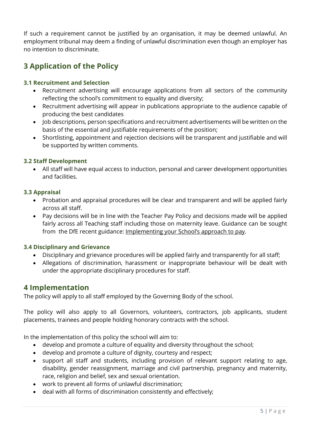If such a requirement cannot be justified by an organisation, it may be deemed unlawful. An employment tribunal may deem a finding of unlawful discrimination even though an employer has no intention to discriminate.

# 3 Application of the Policy

### 3.1 Recruitment and Selection

- Recruitment advertising will encourage applications from all sectors of the community reflecting the school's commitment to equality and diversity;
- Recruitment advertising will appear in publications appropriate to the audience capable of producing the best candidates
- Job descriptions, person specifications and recruitment advertisements will be written on the basis of the essential and justifiable requirements of the position;
- Shortlisting, appointment and rejection decisions will be transparent and justifiable and will be supported by written comments.

#### 3.2 Staff Development

 All staff will have equal access to induction, personal and career development opportunities and facilities.

#### 3.3 Appraisal

- Probation and appraisal procedures will be clear and transparent and will be applied fairly across all staff.
- Pay decisions will be in line with the Teacher Pay Policy and decisions made will be applied fairly across all Teaching staff including those on maternity leave. Guidance can be sought from the DfE recent guidance: Implementing your School's approach to pay.

#### 3.4 Disciplinary and Grievance

- Disciplinary and grievance procedures will be applied fairly and transparently for all staff;
- Allegations of discrimination, harassment or inappropriate behaviour will be dealt with under the appropriate disciplinary procedures for staff.

### 4 Implementation

The policy will apply to all staff employed by the Governing Body of the school.

The policy will also apply to all Governors, volunteers, contractors, job applicants, student placements, trainees and people holding honorary contracts with the school.

In the implementation of this policy the school will aim to:

- develop and promote a culture of equality and diversity throughout the school;
- develop and promote a culture of dignity, courtesy and respect;
- support all staff and students, including provision of relevant support relating to age, disability, gender reassignment, marriage and civil partnership, pregnancy and maternity, race, religion and belief, sex and sexual orientation.
- work to prevent all forms of unlawful discrimination;
- deal with all forms of discrimination consistently and effectively;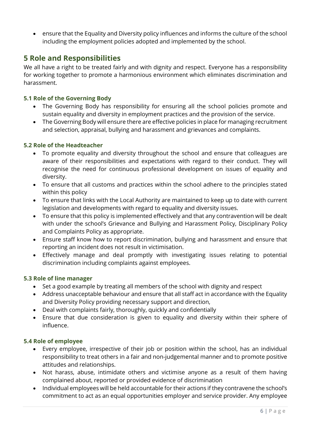ensure that the Equality and Diversity policy influences and informs the culture of the school including the employment policies adopted and implemented by the school.

## 5 Role and Responsibilities

We all have a right to be treated fairly and with dignity and respect. Everyone has a responsibility for working together to promote a harmonious environment which eliminates discrimination and harassment.

### 5.1 Role of the Governing Body

- The Governing Body has responsibility for ensuring all the school policies promote and sustain equality and diversity in employment practices and the provision of the service.
- The Governing Body will ensure there are effective policies in place for managing recruitment and selection, appraisal, bullying and harassment and grievances and complaints.

#### 5.2 Role of the Headteacher

- To promote equality and diversity throughout the school and ensure that colleagues are aware of their responsibilities and expectations with regard to their conduct. They will recognise the need for continuous professional development on issues of equality and diversity.
- To ensure that all customs and practices within the school adhere to the principles stated within this policy
- To ensure that links with the Local Authority are maintained to keep up to date with current legislation and developments with regard to equality and diversity issues.
- To ensure that this policy is implemented effectively and that any contravention will be dealt with under the school's Grievance and Bullying and Harassment Policy, Disciplinary Policy and Complaints Policy as appropriate.
- Ensure staff know how to report discrimination, bullying and harassment and ensure that reporting an incident does not result in victimisation.
- Effectively manage and deal promptly with investigating issues relating to potential discrimination including complaints against employees.

#### 5.3 Role of line manager

- Set a good example by treating all members of the school with dignity and respect
- Address unacceptable behaviour and ensure that all staff act in accordance with the Equality and Diversity Policy providing necessary support and direction,
- Deal with complaints fairly, thoroughly, quickly and confidentially
- Ensure that due consideration is given to equality and diversity within their sphere of influence.

#### 5.4 Role of employee

- Every employee, irrespective of their job or position within the school, has an individual responsibility to treat others in a fair and non-judgemental manner and to promote positive attitudes and relationships.
- Not harass, abuse, intimidate others and victimise anyone as a result of them having complained about, reported or provided evidence of discrimination
- Individual employees will be held accountable for their actions if they contravene the school's commitment to act as an equal opportunities employer and service provider. Any employee